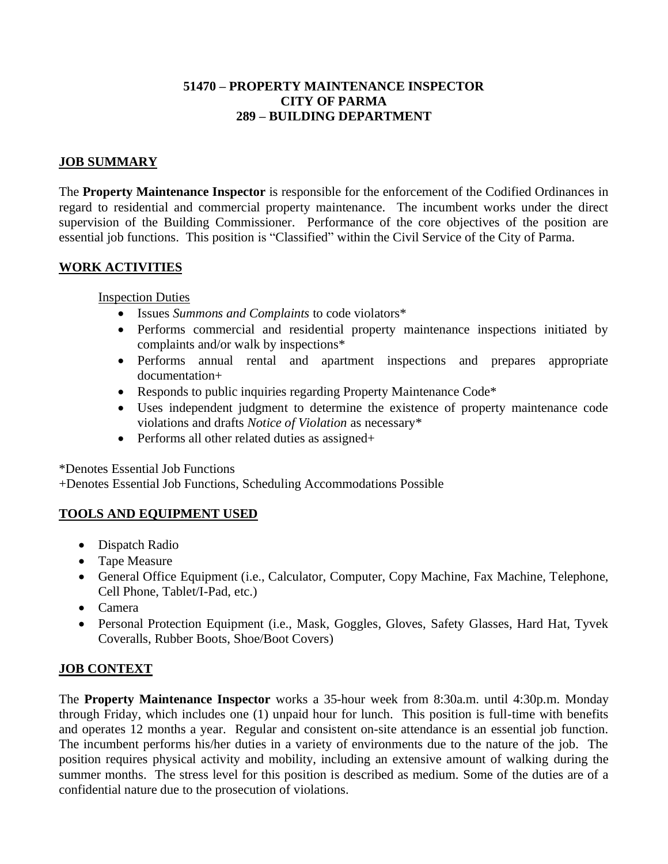## **51470 – PROPERTY MAINTENANCE INSPECTOR CITY OF PARMA 289 – BUILDING DEPARTMENT**

## **JOB SUMMARY**

The **Property Maintenance Inspector** is responsible for the enforcement of the Codified Ordinances in regard to residential and commercial property maintenance. The incumbent works under the direct supervision of the Building Commissioner. Performance of the core objectives of the position are essential job functions. This position is "Classified" within the Civil Service of the City of Parma.

# **WORK ACTIVITIES**

Inspection Duties

- Issues *Summons and Complaints* to code violators\*
- Performs commercial and residential property maintenance inspections initiated by complaints and/or walk by inspections\*
- Performs annual rental and apartment inspections and prepares appropriate documentation+
- Responds to public inquiries regarding Property Maintenance Code\*
- Uses independent judgment to determine the existence of property maintenance code violations and drafts *Notice of Violation* as necessary\*
- Performs all other related duties as assigned+

\*Denotes Essential Job Functions

+Denotes Essential Job Functions, Scheduling Accommodations Possible

## **TOOLS AND EQUIPMENT USED**

- Dispatch Radio
- Tape Measure
- General Office Equipment (i.e., Calculator, Computer, Copy Machine, Fax Machine, Telephone, Cell Phone, Tablet/I-Pad, etc.)
- Camera
- Personal Protection Equipment (i.e., Mask, Goggles, Gloves, Safety Glasses, Hard Hat, Tyvek Coveralls, Rubber Boots, Shoe/Boot Covers)

## **JOB CONTEXT**

The **Property Maintenance Inspector** works a 35-hour week from 8:30a.m. until 4:30p.m. Monday through Friday, which includes one (1) unpaid hour for lunch. This position is full-time with benefits and operates 12 months a year. Regular and consistent on-site attendance is an essential job function. The incumbent performs his/her duties in a variety of environments due to the nature of the job. The position requires physical activity and mobility, including an extensive amount of walking during the summer months. The stress level for this position is described as medium. Some of the duties are of a confidential nature due to the prosecution of violations.